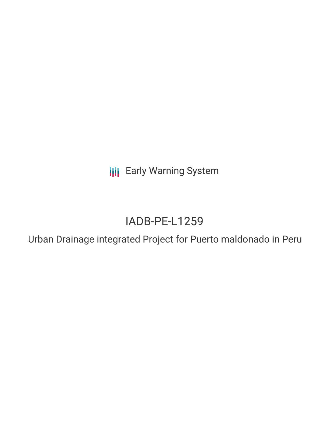**III** Early Warning System

# IADB-PE-L1259

Urban Drainage integrated Project for Puerto maldonado in Peru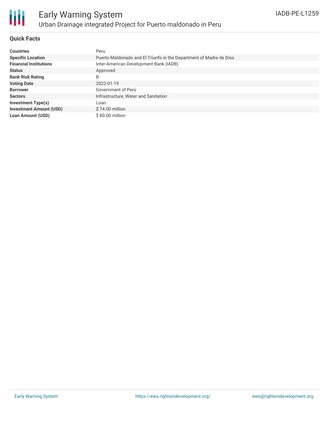

## **Quick Facts**

| <b>Countries</b>               | Peru                                                               |
|--------------------------------|--------------------------------------------------------------------|
| <b>Specific Location</b>       | Puerto Maldonado and El Triunfo in the Department of Madre de Dios |
| <b>Financial Institutions</b>  | Inter-American Development Bank (IADB)                             |
| <b>Status</b>                  | Approved                                                           |
| <b>Bank Risk Rating</b>        | B                                                                  |
| <b>Voting Date</b>             | 2022-01-19                                                         |
| <b>Borrower</b>                | Government of Perú                                                 |
| <b>Sectors</b>                 | Infrastructure, Water and Sanitation                               |
| <b>Investment Type(s)</b>      | Loan                                                               |
| <b>Investment Amount (USD)</b> | $$74.00$ million                                                   |
| <b>Loan Amount (USD)</b>       | \$80,00 million                                                    |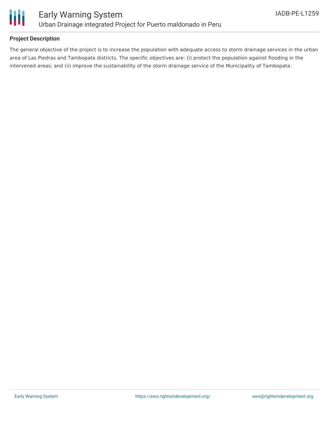

## **Project Description**

The general objective of the project is to increase the population with adequate access to storm drainage services in the urban area of Las Piedras and Tambopata districts. The specific objectives are: (i) protect the population against flooding in the intervened areas; and (ii) improve the sustainability of the storm drainage service of the Municipality of Tambopata.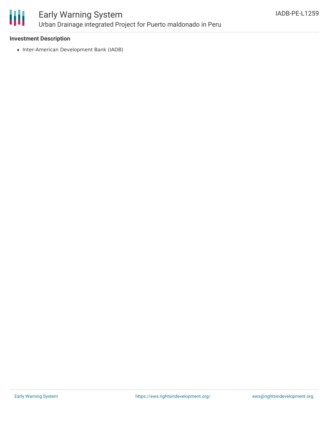

## **Investment Description**

• Inter-American Development Bank (IADB)